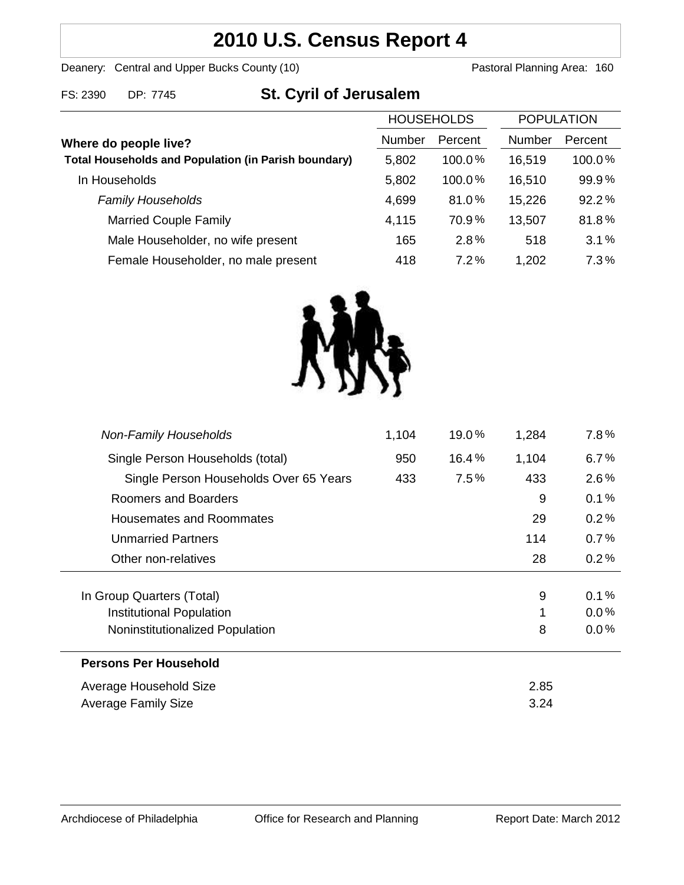## **2010 U.S. Census Report 4**

Deanery: Central and Upper Bucks County (10) Deanery: Central and Upper Bucks County (10)

| FS: 2390 | DP: 7745 |
|----------|----------|
|          |          |

# **St. Cyril of Jerusalem**

| <b>HOUSEHOLDS</b>                                           |               | <b>POPULATION</b> |               |         |
|-------------------------------------------------------------|---------------|-------------------|---------------|---------|
| Where do people live?                                       | <b>Number</b> | Percent           | <b>Number</b> | Percent |
| <b>Total Households and Population (in Parish boundary)</b> | 5,802         | 100.0%            | 16,519        | 100.0%  |
| In Households                                               | 5,802         | 100.0%            | 16,510        | 99.9%   |
| <b>Family Households</b>                                    | 4,699         | 81.0%             | 15,226        | 92.2%   |
| <b>Married Couple Family</b>                                | 4,115         | 70.9%             | 13,507        | 81.8%   |
| Male Householder, no wife present                           | 165           | 2.8%              | 518           | 3.1%    |
| Female Householder, no male present                         | 418           | 7.2%              | 1,202         | 7.3%    |
|                                                             |               |                   |               |         |



| <b>Average Family Size</b>             |       |         | 3.24  |         |
|----------------------------------------|-------|---------|-------|---------|
| Average Household Size                 |       |         | 2.85  |         |
| <b>Persons Per Household</b>           |       |         |       |         |
| Noninstitutionalized Population        |       |         | 8     | $0.0\%$ |
| Institutional Population               |       |         | 1     | $0.0\%$ |
| In Group Quarters (Total)              |       |         | 9     | 0.1%    |
| Other non-relatives                    |       |         | 28    | 0.2%    |
| <b>Unmarried Partners</b>              |       |         | 114   | 0.7%    |
| <b>Housemates and Roommates</b>        |       |         | 29    | 0.2%    |
| Roomers and Boarders                   |       |         | 9     | 0.1%    |
| Single Person Households Over 65 Years | 433   | $7.5\%$ | 433   | $2.6\%$ |
| Single Person Households (total)       | 950   | 16.4%   | 1,104 | $6.7\%$ |
| <b>Non-Family Households</b>           | 1,104 | 19.0%   | 1,284 | $7.8\%$ |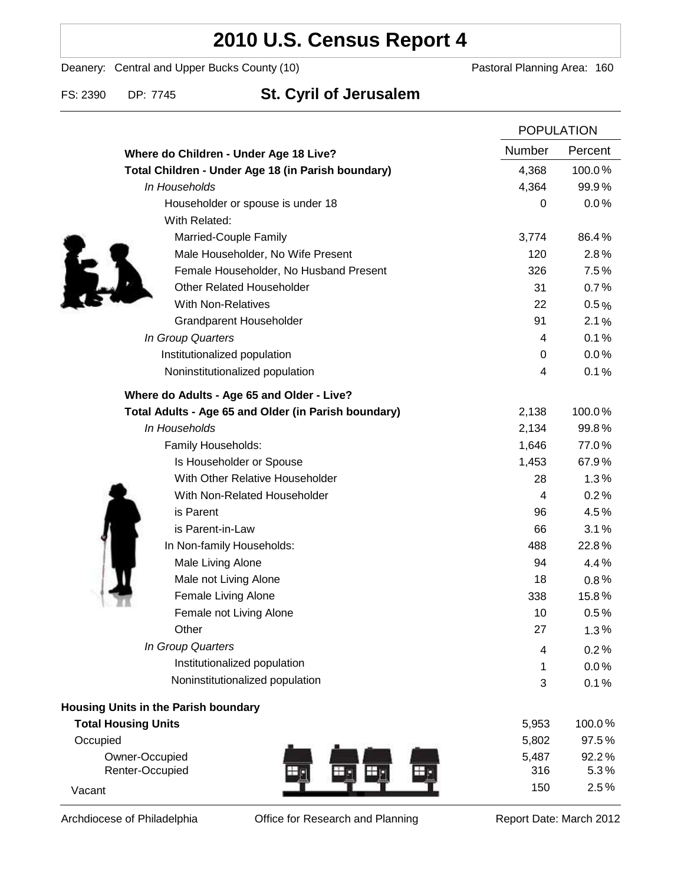### **2010 U.S. Census Report 4**

Deanery: Central and Upper Bucks County (10) Deanery: Central and Upper Bucks County (10)

### FS: 2390 DP: 7745 **St. Cyril of Jerusalem**

|                                                      |        | <b>POPULATION</b> |  |
|------------------------------------------------------|--------|-------------------|--|
| Where do Children - Under Age 18 Live?               | Number | Percent           |  |
| Total Children - Under Age 18 (in Parish boundary)   | 4,368  | 100.0%            |  |
| In Households                                        | 4,364  | 99.9%             |  |
| Householder or spouse is under 18                    | 0      | 0.0%              |  |
| With Related:                                        |        |                   |  |
| Married-Couple Family                                | 3,774  | 86.4%             |  |
| Male Householder, No Wife Present                    | 120    | 2.8%              |  |
| Female Householder, No Husband Present               | 326    | 7.5%              |  |
| <b>Other Related Householder</b>                     | 31     | 0.7%              |  |
| <b>With Non-Relatives</b>                            | 22     | 0.5%              |  |
| <b>Grandparent Householder</b>                       | 91     | 2.1%              |  |
| In Group Quarters                                    | 4      | 0.1%              |  |
| Institutionalized population                         | 0      | 0.0%              |  |
| Noninstitutionalized population                      | 4      | 0.1%              |  |
| Where do Adults - Age 65 and Older - Live?           |        |                   |  |
| Total Adults - Age 65 and Older (in Parish boundary) | 2,138  | 100.0%            |  |
| In Households                                        | 2,134  | 99.8%             |  |
| Family Households:                                   | 1,646  | 77.0%             |  |
| Is Householder or Spouse                             | 1,453  | 67.9%             |  |
| With Other Relative Householder                      | 28     | 1.3%              |  |
| With Non-Related Householder                         | 4      | 0.2%              |  |
| is Parent                                            | 96     | 4.5%              |  |
| is Parent-in-Law                                     | 66     | 3.1%              |  |
| In Non-family Households:                            | 488    | 22.8%             |  |
| Male Living Alone                                    | 94     | 4.4%              |  |
| Male not Living Alone                                | 18     | $0.8\%$           |  |
| Female Living Alone                                  | 338    | 15.8%             |  |
| Female not Living Alone                              | 10     | 0.5%              |  |
| Other                                                | 27     | 1.3%              |  |
| In Group Quarters                                    | 4      | 0.2%              |  |
| Institutionalized population                         | 1      | 0.0%              |  |
| Noninstitutionalized population                      | 3      | 0.1%              |  |
| Housing Units in the Parish boundary                 |        |                   |  |
| <b>Total Housing Units</b>                           | 5,953  | 100.0%            |  |
| Occupied                                             | 5,802  | 97.5%             |  |
| Owner-Occupied                                       | 5,487  | 92.2%             |  |
| Renter-Occupied                                      | 316    | 5.3%              |  |
| Vacant                                               | 150    | 2.5%              |  |

Archdiocese of Philadelphia **Office for Research and Planning** Report Date: March 2012